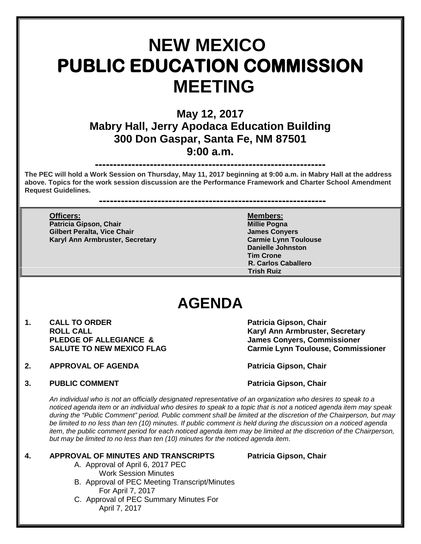# **NEW MEXICO PUBLIC EDUCATION COMMISSION MEETING**

## **May 12, 2017 Mabry Hall, Jerry Apodaca Education Building 300 Don Gaspar, Santa Fe, NM 87501 9:00 a.m.**

### **---------------------------------------------------------------**

**The PEC will hold a Work Session on Thursday, May 11, 2017 beginning at 9:00 a.m. in Mabry Hall at the address above. Topics for the work session discussion are the Performance Framework and Charter School Amendment Request Guidelines.** 

**--------------------------------------------------------------**

**Officers: Members: Patricia Gipson, Chair Gilbert Peralta, Vice Chair James Conyers Karyl Ann Armbruster, Secretary** 

**Danielle Johnston Tim Crone R. Carlos Caballero Trish Ruiz**

## **AGENDA**

- 1. CALL TO ORDER **Patricia Gipson, Chair**<br>ROLL CALL **ROUL ROLL CALL Karyl Ann Armbruster, Secretary**
- **2. APPROVAL OF AGENDA Patricia Gipson, Chair**

**James Conyers, Commissioner SALUTE TO NEW MEXICO FLAG Carmie Lynn Toulouse, Commissioner**

**3. PUBLIC COMMENT Patricia Gipson, Chair** 

*An individual who is not an officially designated representative of an organization who desires to speak to a noticed agenda item or an individual who desires to speak to a topic that is not a noticed agenda item may speak during the "Public Comment" period. Public comment shall be limited at the discretion of the Chairperson, but may*  be limited to no less than ten (10) minutes. If public comment is held during the discussion on a noticed agenda *item, the public comment period for each noticed agenda item may be limited at the discretion of the Chairperson, but may be limited to no less than ten (10) minutes for the noticed agenda item.*

#### **4. APPROVAL OF MINUTES AND TRANSCRIPTS Patricia Gipson, Chair**

- A. Approval of April 6, 2017 PEC Work Session Minutes
- B. Approval of PEC Meeting Transcript/Minutes For April 7, 2017
- C. Approval of PEC Summary Minutes For April 7, 2017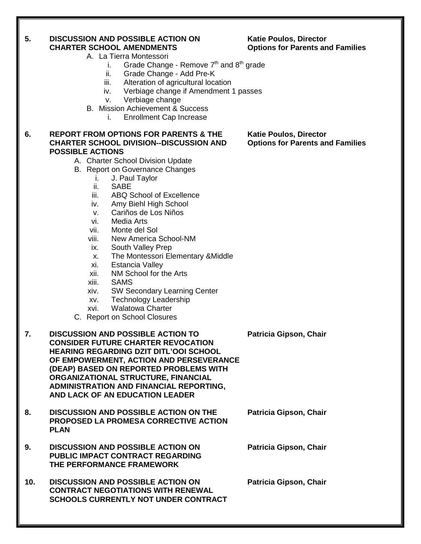#### **5. DISCUSSION AND POSSIBLE ACTION ON Katie Poulos, Director CHARTER SCHOOL AMENDMENTS Options for Parents and Families**

- A. La Tierra Montessori
	- i. Grade Change Remove  $7<sup>th</sup>$  and  $8<sup>th</sup>$  grade
	- ii. Grade Change Add Pre-K
	- iii. Alteration of agricultural location
	- iv. Verbiage change if Amendment 1 passes
	- v. Verbiage change
- B. Mission Achievement & Success
	- i. Enrollment Cap Increase

#### **6. REPORT FROM OPTIONS FOR PARENTS & THE Katie Poulos, Director CHARTER SCHOOL DIVISION--DISCUSSION AND POSSIBLE ACTIONS**

#### A. Charter School Division Update

- B. Report on Governance Changes
	- i. J. Paul Taylor
	- SAB<sub>F</sub>
	- iii. ABQ School of Excellence
	- iv. Amy Biehl High School
	- v. Cariños de Los Niños
	- vi. Media Arts
	- vii. Monte del Sol
	- viii. New America School-NM
	- ix. South Valley Prep
	- x. The Montessori Elementary &Middle
	- xi. Estancia Valley
	- xii. NM School for the Arts
	- xiii. SAMS
	- xiv. SW Secondary Learning Center
	- xv. Technology Leadership
	- xvi. Walatowa Charter
- C. Report on School Closures

#### **7. DISCUSSION AND POSSIBLE ACTION TO Patricia Gipson, Chair CONSIDER FUTURE CHARTER REVOCATION HEARING REGARDING DZIT DITL'OOI SCHOOL OF EMPOWERMENT, ACTION AND PERSEVERANCE (DEAP) BASED ON REPORTED PROBLEMS WITH ORGANIZATIONAL STRUCTURE, FINANCIAL ADMINISTRATION AND FINANCIAL REPORTING, AND LACK OF AN EDUCATION LEADER**

- **8. DISCUSSION AND POSSIBLE ACTION ON THE Patricia Gipson, Chair PROPOSED LA PROMESA CORRECTIVE ACTION PLAN**
- **9. DISCUSSION AND POSSIBLE ACTION ON Patricia Gipson, Chair PUBLIC IMPACT CONTRACT REGARDING THE PERFORMANCE FRAMEWORK**
- **10. DISCUSSION AND POSSIBLE ACTION ON Patricia Gipson, Chair CONTRACT NEGOTIATIONS WITH RENEWAL SCHOOLS CURRENTLY NOT UNDER CONTRACT**